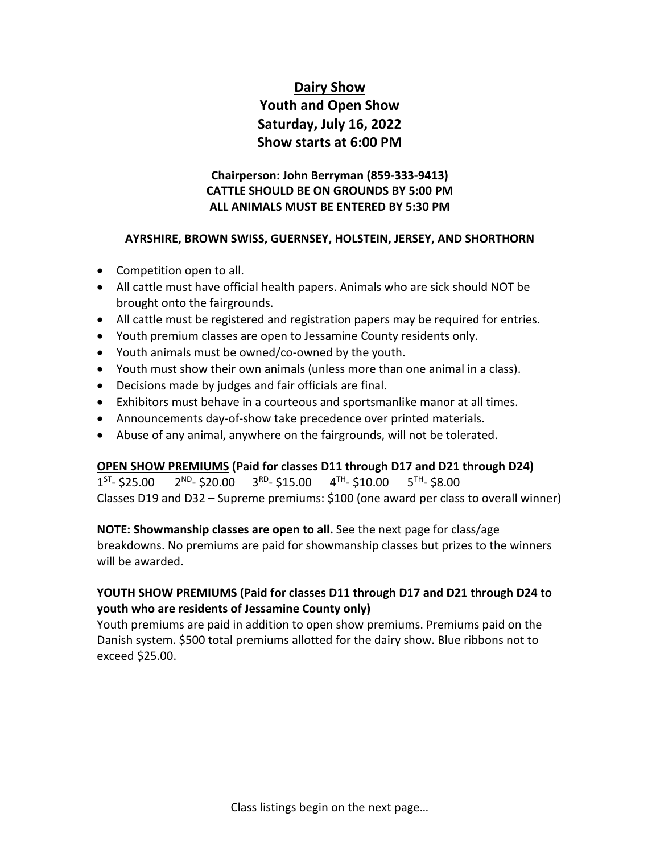# **Dairy Show Youth and Open Show Saturday, July 16, 2022 Show starts at 6:00 PM**

## **Chairperson: John Berryman (859-333-9413) CATTLE SHOULD BE ON GROUNDS BY 5:00 PM ALL ANIMALS MUST BE ENTERED BY 5:30 PM**

#### **AYRSHIRE, BROWN SWISS, GUERNSEY, HOLSTEIN, JERSEY, AND SHORTHORN**

- Competition open to all.
- All cattle must have official health papers. Animals who are sick should NOT be brought onto the fairgrounds.
- All cattle must be registered and registration papers may be required for entries.
- Youth premium classes are open to Jessamine County residents only.
- Youth animals must be owned/co-owned by the youth.
- Youth must show their own animals (unless more than one animal in a class).
- Decisions made by judges and fair officials are final.
- Exhibitors must behave in a courteous and sportsmanlike manor at all times.
- Announcements day-of-show take precedence over printed materials.
- Abuse of any animal, anywhere on the fairgrounds, will not be tolerated.

### **OPEN SHOW PREMIUMS (Paid for classes D11 through D17 and D21 through D24)**

 $1^{ST}$ - \$25.00  $2^{ND}$ - \$20.00  $3^{RD}$ - \$15.00  $4^{TH}$ - \$10.00  $5^{TH}$ - \$8.00 Classes D19 and D32 – Supreme premiums: \$100 (one award per class to overall winner)

### **NOTE: Showmanship classes are open to all.** See the next page for class/age

breakdowns. No premiums are paid for showmanship classes but prizes to the winners will be awarded.

## **YOUTH SHOW PREMIUMS (Paid for classes D11 through D17 and D21 through D24 to youth who are residents of Jessamine County only)**

Youth premiums are paid in addition to open show premiums. Premiums paid on the Danish system. \$500 total premiums allotted for the dairy show. Blue ribbons not to exceed \$25.00.